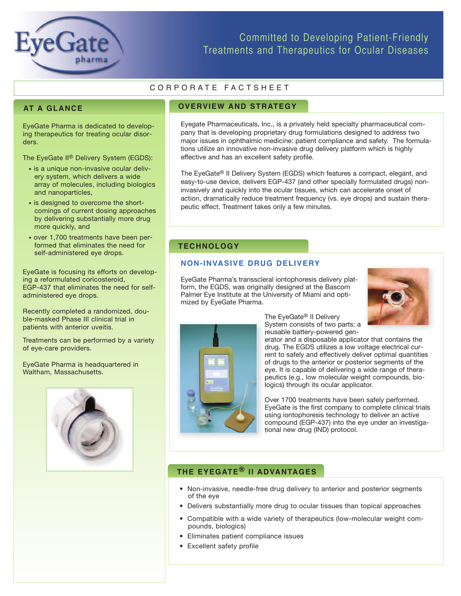

# Committed to Developing Patient-Friendly Treatments and Therapeutics for Ocular Diseases

# CORPORATE FACTSHEET

### **AT A GLANCE**

EyeGate Pharma is dedicated to developing therapeutics for treating ocular disorders.

The EyeGate II® Delivery System (EGDS):

- is a unique non-invasive ocular delivery system, which delivers a wide array of molecules, including biologics and nanoparticles,
- is designed to overcome the shortcomings of current dosing approaches by delivering substantially more drug more quickly, and
- over 1,700 treatments have been performed that eliminates the need for self-administered eye drops.

EyeGate is focusing its efforts on developing a reformulated coricosteroid, EGP-437 that eliminates the need for selfadministered eye drops.

Recently completed a randomized, double-masked Phase III clinical trial in patients with anterior uveitis.

Treatments can be performed by a variety of eye-care providers.

EyeGate Pharma is headquartered in Waltham, Massachusetts.



### **OVERVIEW AND STRATEGY**

Eyegate Pharmaceuticals, Inc., is a privately held specialty pharmaceutical company that is developing proprietary drug formulations designed to address two major issues in ophthalmic medicine: patient compliance and safety. The formulations utilize an innovative non-invasive drug delivery platform which is highly effective and has an excellent safety profile.

The EyeGate® II Delivery System (EGDS) which features a compact, elegant, and easy-to-use device, delivers EGP-437 (and other specially formulated drugs) noninvasively and quickly into the ocular tissues, which can accelerate onset of action, dramatically reduce treatment frequency (vs. eye drops) and sustain therapeutic effect. Treatment takes only a few minutes.

### **TECHNOLOGY**

### **NON-INVASIVE DRUG DELIVERY**

EyeGate Pharma's transscleral iontophoresis delivery platform, the EGDS, was originally designed at the Bascom Palmer Eye Institute at the University of Miami and optimized by EyeGate Pharma.





The EyeGate® II Delivery System consists of two parts: a reusable battery-powered gen-

erator and a disposable applicator that contains the drug. The EGDS utilizes a low voltage electrical current to safely and effectively deliver optimal quantities of drugs to the anterior or posterior segments of the eye. It is capable of delivering a wide range of therapeutics (e.g., low molecular weight compounds, biologics) through its ocular applicator.

Over 1700 treatments have been safely performed. EyeGate is the first company to complete clinical trials using iontophoresis technology to deliver an active compound (EGP-437) into the eye under an investigational new drug (IND) protocol.

## **THE EYEGATE® II ADVANTAGES**

- Non-invasive, needle-free drug delivery to anterior and posterior segments of the eye
- Delivers substantially more drug to ocular tissues than topical approaches
- Compatible with a wide variety of therapeutics (low-molecular weight compounds, biologics)
- Eliminates patient compliance issues
- Excellent safety profile